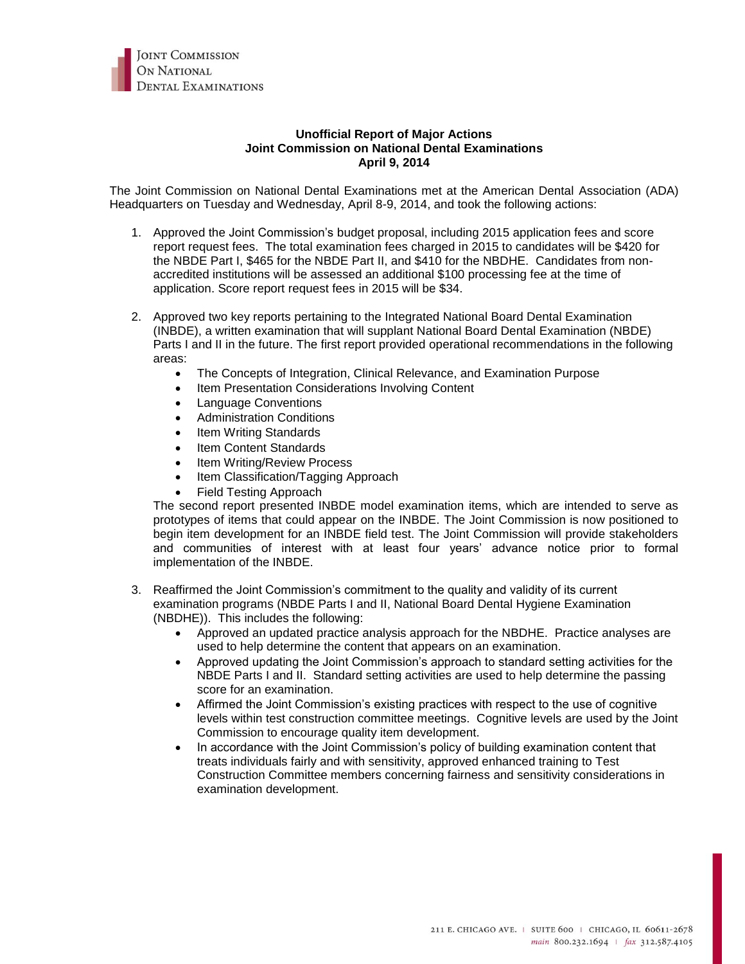

## **Unofficial Report of Major Actions Joint Commission on National Dental Examinations April 9, 2014**

The Joint Commission on National Dental Examinations met at the American Dental Association (ADA) Headquarters on Tuesday and Wednesday, April 8-9, 2014, and took the following actions:

- 1. Approved the Joint Commission's budget proposal, including 2015 application fees and score report request fees. The total examination fees charged in 2015 to candidates will be \$420 for the NBDE Part I, \$465 for the NBDE Part II, and \$410 for the NBDHE. Candidates from nonaccredited institutions will be assessed an additional \$100 processing fee at the time of application. Score report request fees in 2015 will be \$34.
- 2. Approved two key reports pertaining to the Integrated National Board Dental Examination (INBDE), a written examination that will supplant National Board Dental Examination (NBDE) Parts I and II in the future. The first report provided operational recommendations in the following areas:
	- The Concepts of Integration, Clinical Relevance, and Examination Purpose
	- Item Presentation Considerations Involving Content
	- Language Conventions
	- Administration Conditions
	- Item Writing Standards
	- Item Content Standards
	- Item Writing/Review Process
	- Item Classification/Tagging Approach
	- Field Testing Approach

The second report presented INBDE model examination items, which are intended to serve as prototypes of items that could appear on the INBDE. The Joint Commission is now positioned to begin item development for an INBDE field test. The Joint Commission will provide stakeholders and communities of interest with at least four years' advance notice prior to formal implementation of the INBDE.

- 3. Reaffirmed the Joint Commission's commitment to the quality and validity of its current examination programs (NBDE Parts I and II, National Board Dental Hygiene Examination (NBDHE)). This includes the following:
	- Approved an updated practice analysis approach for the NBDHE. Practice analyses are used to help determine the content that appears on an examination.
	- Approved updating the Joint Commission's approach to standard setting activities for the NBDE Parts I and II. Standard setting activities are used to help determine the passing score for an examination.
	- Affirmed the Joint Commission's existing practices with respect to the use of cognitive levels within test construction committee meetings. Cognitive levels are used by the Joint Commission to encourage quality item development.
	- In accordance with the Joint Commission's policy of building examination content that treats individuals fairly and with sensitivity, approved enhanced training to Test Construction Committee members concerning fairness and sensitivity considerations in examination development.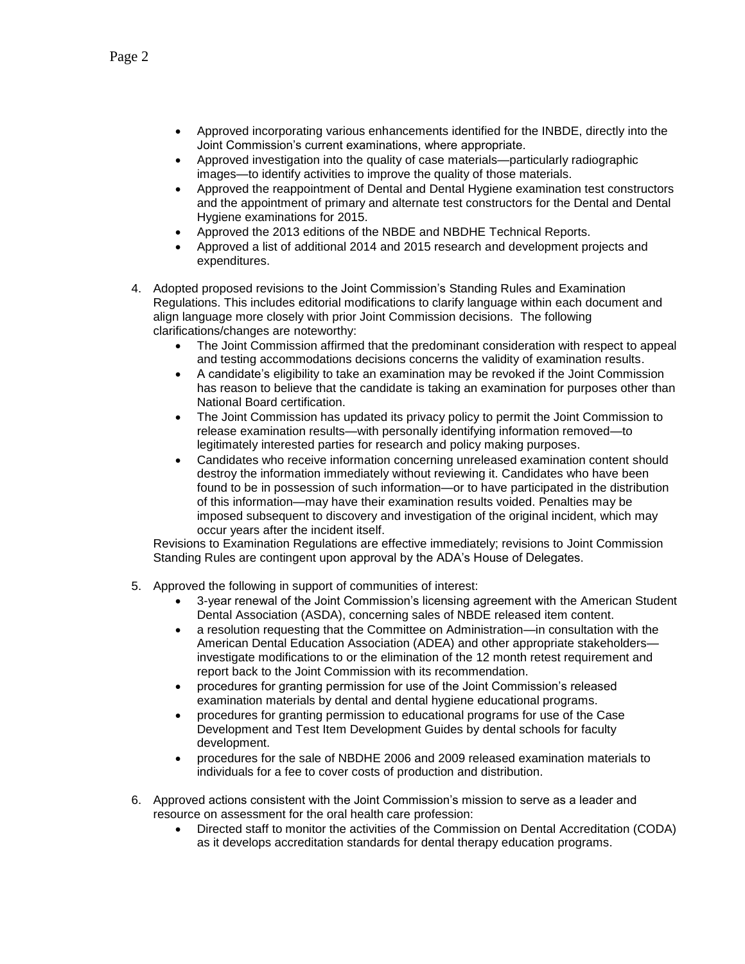- Approved incorporating various enhancements identified for the INBDE, directly into the Joint Commission's current examinations, where appropriate.
- Approved investigation into the quality of case materials—particularly radiographic images—to identify activities to improve the quality of those materials.
- Approved the reappointment of Dental and Dental Hygiene examination test constructors and the appointment of primary and alternate test constructors for the Dental and Dental Hygiene examinations for 2015.
- Approved the 2013 editions of the NBDE and NBDHE Technical Reports.
- Approved a list of additional 2014 and 2015 research and development projects and expenditures.
- 4. Adopted proposed revisions to the Joint Commission's Standing Rules and Examination Regulations. This includes editorial modifications to clarify language within each document and align language more closely with prior Joint Commission decisions. The following clarifications/changes are noteworthy:
	- The Joint Commission affirmed that the predominant consideration with respect to appeal and testing accommodations decisions concerns the validity of examination results.
	- A candidate's eligibility to take an examination may be revoked if the Joint Commission has reason to believe that the candidate is taking an examination for purposes other than National Board certification.
	- The Joint Commission has updated its privacy policy to permit the Joint Commission to release examination results—with personally identifying information removed—to legitimately interested parties for research and policy making purposes.
	- Candidates who receive information concerning unreleased examination content should destroy the information immediately without reviewing it. Candidates who have been found to be in possession of such information—or to have participated in the distribution of this information—may have their examination results voided. Penalties may be imposed subsequent to discovery and investigation of the original incident, which may occur years after the incident itself.

Revisions to Examination Regulations are effective immediately; revisions to Joint Commission Standing Rules are contingent upon approval by the ADA's House of Delegates.

- 5. Approved the following in support of communities of interest:
	- 3-year renewal of the Joint Commission's licensing agreement with the American Student Dental Association (ASDA), concerning sales of NBDE released item content.
	- a resolution requesting that the Committee on Administration—in consultation with the American Dental Education Association (ADEA) and other appropriate stakeholders investigate modifications to or the elimination of the 12 month retest requirement and report back to the Joint Commission with its recommendation.
	- procedures for granting permission for use of the Joint Commission's released examination materials by dental and dental hygiene educational programs.
	- procedures for granting permission to educational programs for use of the Case Development and Test Item Development Guides by dental schools for faculty development.
	- procedures for the sale of NBDHE 2006 and 2009 released examination materials to individuals for a fee to cover costs of production and distribution.
- 6. Approved actions consistent with the Joint Commission's mission to serve as a leader and resource on assessment for the oral health care profession:
	- Directed staff to monitor the activities of the Commission on Dental Accreditation (CODA) as it develops accreditation standards for dental therapy education programs.